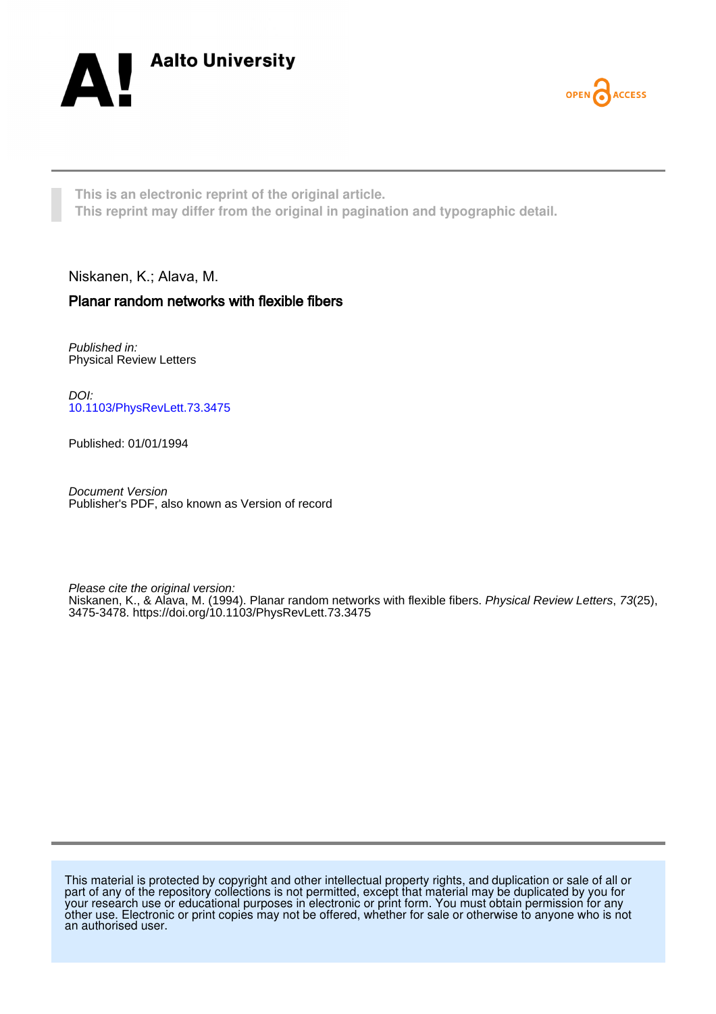



**This is an electronic reprint of the original article. This reprint may differ from the original in pagination and typographic detail.**

Niskanen, K.; Alava, M.

## Planar random networks with flexible fibers

Published in: Physical Review Letters

DOI: [10.1103/PhysRevLett.73.3475](https://doi.org/10.1103/PhysRevLett.73.3475)

Published: 01/01/1994

Document Version Publisher's PDF, also known as Version of record

Please cite the original version: Niskanen, K., & Alava, M. (1994). Planar random networks with flexible fibers. *Physical Review Letters*, 73(25), 3475-3478.<https://doi.org/10.1103/PhysRevLett.73.3475>

This material is protected by copyright and other intellectual property rights, and duplication or sale of all or part of any of the repository collections is not permitted, except that material may be duplicated by you for your research use or educational purposes in electronic or print form. You must obtain permission for any other use. Electronic or print copies may not be offered, whether for sale or otherwise to anyone who is not an authorised user.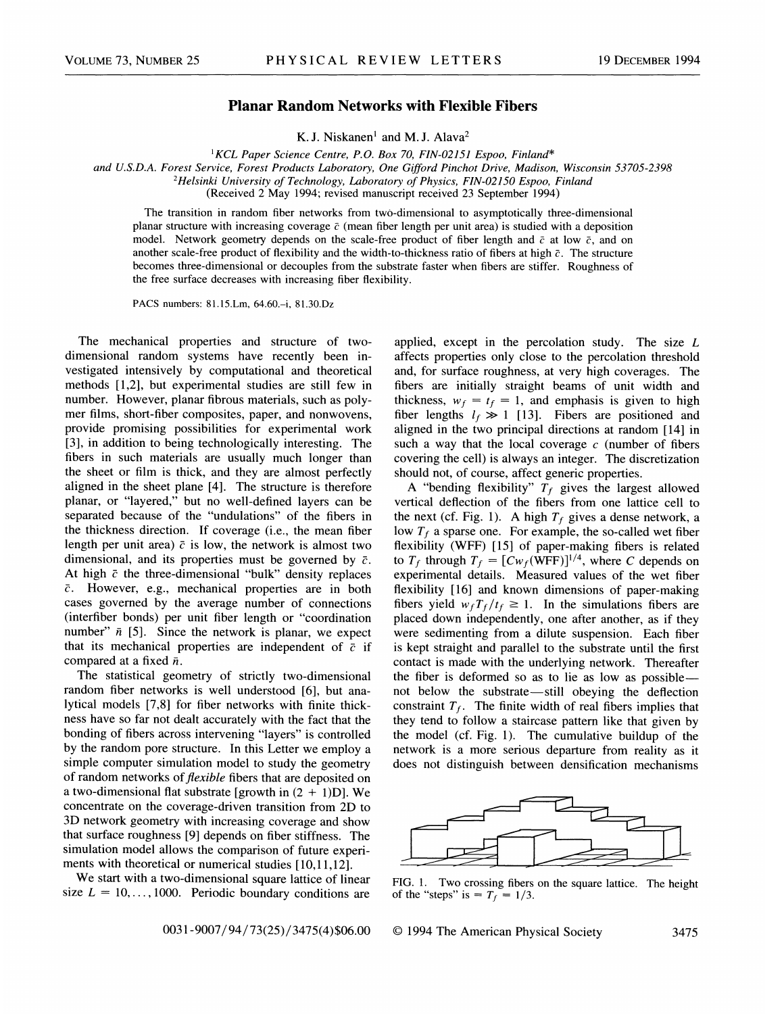## Planar Random Networks with Flexible Fibers

K.J. Niskanen' and M.J. Alava

'KCL Paper Science Centre, P.O. Box 70, FIN-02151 Espoo, Finland\*

and U.S.D.A. Forest Service, Forest Products Laboratory, One Gifford Pinchot Drive, Madison, Wisconsin 53705-2398

<sup>2</sup>Helsinki University of Technology, Laboratory of Physics, FIN-02150 Espoo, Finland

(Received 2 May 1994; revised manuscript received 23 September 1994)

The transition in random fiber networks from two-dimensional to asymptotically three-dimensional planar structure with increasing coverage  $\bar{c}$  (mean fiber length per unit area) is studied with a deposition model. Network geometry depends on the scale-free product of fiber length and  $\bar{c}$  at low  $\bar{c}$ , and on another scale-free product of flexibility and the width-to-thickness ratio of fibers at high  $\bar{c}$ . The structure becomes three-dimensional or decouples from the substrate faster when fibers are stiffer. Roughness of the free surface decreases with increasing fiber flexibility.

PACS numbers: 81.15.Lm, 64.60.—i, 81.30.Dz

The mechanical properties and structure of twodimensional random systems have recently been investigated intensively by computational and theoretical methods [1,2], but experimental studies are still few in number. However, planar fibrous materials, such as polymer films, short-fiber composites, paper, and nonwovens, provide promising possibilities for experimental work [3], in addition to being technologically interesting. The fibers in such materials are usually much longer than the sheet or film is thick, and they are almost perfectly aligned in the sheet plane [4]. The structure is therefore planar, or "layered," but no well-defined layers can be separated because of the "undulations" of the fibers in the thickness direction. If coverage (i.e., the mean fiber length per unit area)  $\bar{c}$  is low, the network is almost two dimensional, and its properties must be governed by  $\bar{c}$ . At high  $\bar{c}$  the three-dimensional "bulk" density replaces  $\bar{c}$ . However, e.g., mechanical properties are in both cases governed by the average number of connections (interfiber bonds) per unit fiber length or "coordination number"  $\bar{n}$  [5]. Since the network is planar, we expect that its mechanical properties are independent of  $\bar{c}$  if compared at a fixed  $\bar{n}$ .

The statistical geometry of strictly two-dimensional random fiber networks is well understood [6], but analytical models [7,8] for fiber networks with finite thickness have so far not dealt accurately with the fact that the bonding of fibers across intervening "layers" is controlled by the random pore structure. In this Letter we employ a simple computer simulation model to study the geometry of random networks of *flexible* fibers that are deposited on a two-dimensional flat substrate [growth in  $(2 + 1)D$ ]. We concentrate on the coverage-driven transition from 2D to 3D network geometry with increasing coverage and show that surface roughness [9] depends on fiber stiffness. The simulation model allows the comparison of future experiments with theoretical or numerical studies [10,11,12].

We start with a two-dimensional square lattice of linear size  $L = 10, \ldots, 1000$ . Periodic boundary conditions are

applied, except in the percolation study. The size L affects properties only close to the percolation threshold and, for surface roughness, at very high coverages. The fibers are initially straight beams of unit width and thickness,  $w_f = t_f = 1$ , and emphasis is given to high fiber lengths  $l_f \gg 1$  [13]. Fibers are positioned and aligned in the two principal directions at random [14] in such a way that the local coverage  $c$  (number of fibers covering the cell) is always an integer. The discretization should not, of course, affect generic properties.

A "bending flexibility"  $T_f$  gives the largest allowed vertical deflection of the fibers from one lattice cell to the next (cf. Fig. 1). A high  $T_f$  gives a dense network, a low  $T_f$  a sparse one. For example, the so-called wet fiber flexibility (WFF) [15] of paper-making fibers is related to  $T_f$  through  $T_f = [Cw_f(\text{WFF})]^{1/4}$ , where C depends on experimental details. Measured values of the wet fiber flexibility [16] and known dimensions of paper-making fibers yield  $w_f T_f/t_f \geq 1$ . In the simulations fibers are placed down independently, one after another, as if they were sedimenting from a dilute suspension. Each fiber is kept straight and parallel to the substrate until the first contact is made with the underlying network. Thereafter the fiber is deformed so as to lie as low as possiblenot below the substrate —still obeying the deflection constraint  $T_f$ . The finite width of real fibers implies that they tend to follow a staircase pattern like that given by the model (cf. Fig. 1). The cumulative buildup of the network is a more serious departure from reality as it does not distinguish between densification mechanisms



FIG. 1. Two crossing fibers on the square lattice. The height of the "steps" is =  $T_f = 1/3$ .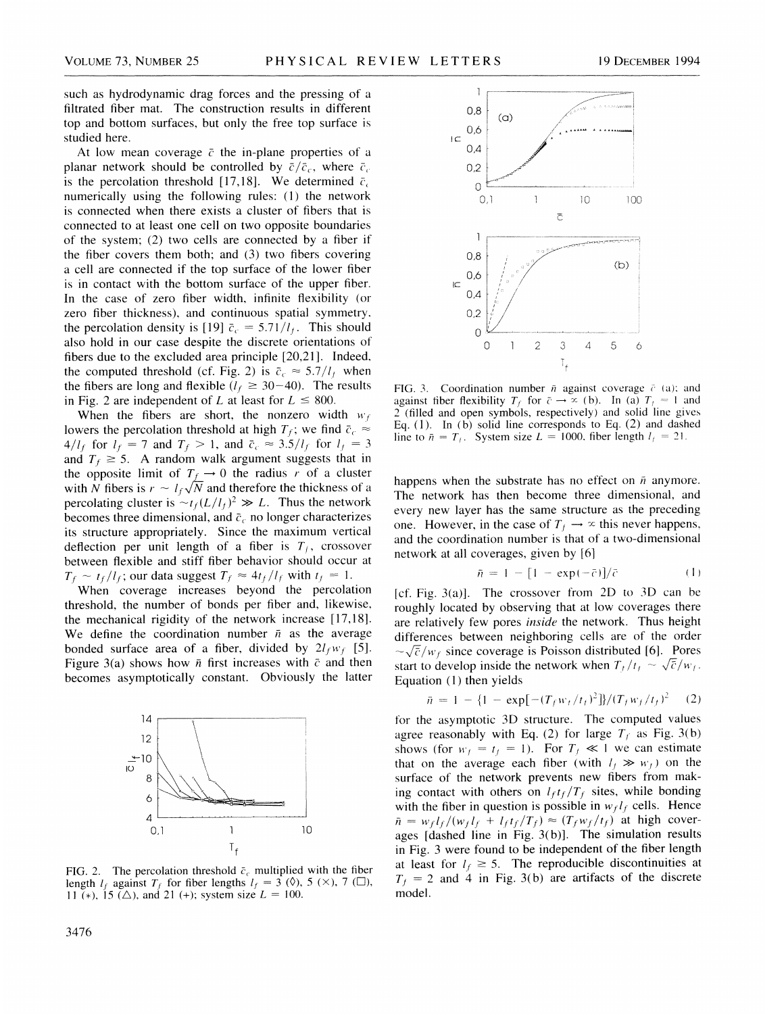such as hydrodynamic drag forces and the pressing of a filtrated fiber mat. The construction results in different top and bottom surfaces, but only the free top surface is studied here.

At low mean coverage  $\bar{c}$  the in-plane properties of a planar network should be controlled by  $\bar{c}/\bar{c}_c$ , where  $\bar{c}_c$ is the percolation threshold [17,18]. We determined  $\bar{c}_c$ numerically using the following rules: (1) the network is connected when there exists a cluster of fibers that is connected to at least one cell on two opposite boundaries of the system; (2) two cells are connected by a fiber if the fiber covers them both; and (3) two fibers covering a cell are connected if the top surface of the lower fiber is in contact with the bottom surface of the upper fiber. In the case of zero fiber width, infinite flexibility (or zero fiber thickness), and continuous spatial symmetry. the percolation density is [19]  $\bar{c}_c = 5.71/l_f$ . This should also hold in our case despite the discrete orientations of fibers due to the excluded area principle [20,21]. Indeed, the computed threshold (cf. Fig. 2) is  $\bar{c}_c \approx 5.7/l_t$  when the fibers are long and flexible ( $l_f \ge 30-40$ ). The results in Fig. 2 are independent of L at least for  $L \le 800$ .

When the fibers are short, the nonzero width  $w_f$ lowers the percolation threshold at high  $T_f$ ; we find  $\bar{c}_c \approx$  $4/l_f$  for  $l_f = 7$  and  $T_f > 1$ , and  $\bar{c}_c \approx 3.5/l_f$  for  $l_f = 3$ and  $T_f \geq 5$ . A random walk argument suggests that in the opposite limit of  $T_f \rightarrow 0$  the radius r of a cluster with N fibers is  $r \sim l_f \sqrt{N}$  and therefore the thickness of a percolating cluster is  $\sim t_f(L/l_f)^2 \gg L$ . Thus the network becomes three dimensional, and  $\bar{c}_c$  no longer characterizes its structure appropriately. Since the maximum vertical deflection per unit length of a fiber is  $T_f$ , crossover between flexible and stiff fiber behavior should occur at  $T_f \sim t_f / l_f$ ; our data suggest  $T_f \approx 4t_f / l_f$  with  $t_f = 1$ .

When coverage increases beyond the percolation threshold, the number of bonds per fiber and, likewise, the mechanical rigidity of the network increase [17,18]. We define the coordination number  $\bar{n}$  as the average bonded surface area of a fiber, divided by  $2l_fw_f$  [5]. Figure 3(a) shows how  $\bar{n}$  first increases with  $\bar{c}$  and then becomes asymptotically constant. Obviously the latter



FIG. 2. The percolation threshold  $\bar{c}_c$  multiplied with the fiber length  $l_f$  against  $T_f$  for fiber lengths  $l_f = 3$  ( $\Diamond$ ), 5 ( $\times$ ), 7 ( $\square$ ), 11 (\*), 15 ( $\triangle$ ), and 21 (+); system size  $L = 100$ .



FIG. 3. Coordination number  $\bar{n}$  against coverage  $\bar{c}$  (a); and against fiber flexibility  $T_f$  for  $\overline{c} \rightarrow \overline{\infty}$  (b). In (a)  $T_f = 1$  and 2 (filled and open symbols, respectively) and solid line gives Eq. (1). In (b) solid line corresponds to Eq. (2) and dashed line to  $\bar{n} = T_f$ . System size  $L = 1000$ . fiber length  $l_f = 21$ .

happens when the substrate has no effect on  $\bar{n}$  anymore. The network has then become three dimensional, and every new layer has the same structure as the preceding one. However, in the case of  $T_f \rightarrow \infty$  this never happens, and the coordination number is that of a two-dimensional network at all coverages, given by [6]

$$
\bar{n} = 1 - [1 - \exp(-\bar{c})]/\bar{c}
$$
 (1)

[cf. Fig.  $3(a)$ ]. The crossover from 2D to 3D can be roughly located by observing that at low coverages there are relatively few pores *inside* the network. Thus height differences between neighboring cells are of the order  $\sim \sqrt{\overline{c}}/w_f$  since coverage is Poisson distributed [6]. Pores start to develop inside the network when  $T_t/t_t \sim \sqrt{\overline{c}}/w_t$ . Equation (1) then yields

$$
\bar{n} = 1 - \{1 - \exp[-(T_f w_t/t_t)^2]\} / (T_f w_f/t_f)^2
$$
 (2)

for the asymptotic 3D structure. The computed values agree reasonably with Eq. (2) for large  $T_f$  as Fig. 3(b) shows (for  $w_t = t_t = 1$ ). For  $T_t \ll 1$  we can estimate that on the average each fiber (with  $l_f \gg w_f$ ) on the surface of the network prevents new fibers from making contact with others on  $l_f t_f/T_f$  sites, while bonding with the fiber in question is possible in  $w_f l_f$  cells. Hence  $\bar{n} = w_f l_f / (w_f l_f + l_f t_f / T_f) \approx (T_f w_f / t_f)$  at high coverages  $[dashed line in Fig. 3(b)].$  The simulation results in Fig. 3 were found to be independent of the fiber length at least for  $l_f \geq 5$ . The reproducible discontinuities at  $T_f$  = 2 and 4 in Fig. 3(b) are artifacts of the discrete model.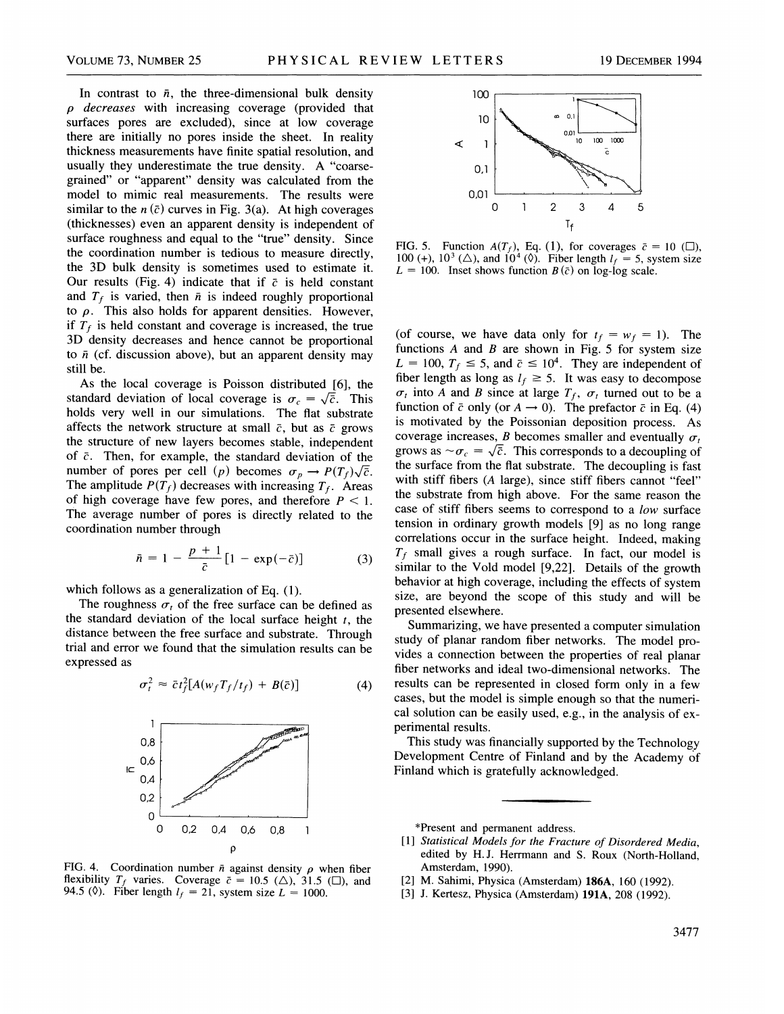In contrast to  $\bar{n}$ , the three-dimensional bulk density  $\rho$  decreases with increasing coverage (provided that surfaces pores are excluded), since at low coverage there are initially no pores inside the sheet. In reality thickness measurements have finite spatial resolution, and usually they underestimate the true density. A "coarsegrained" or "apparent" density was calculated from the model to mimic real measurements. The results were similar to the  $n(\bar{c})$  curves in Fig. 3(a). At high coverages (thicknesses) even an apparent density is independent of surface roughness and equal to the "true" density. Since the coordination number is tedious to measure directly, the 3D bulk density is sometimes used to estimate it. Our results (Fig. 4) indicate that if  $\bar{c}$  is held constant and  $T_f$  is varied, then  $\bar{n}$  is indeed roughly proportional to  $\rho$ . This also holds for apparent densities. However, if  $T_f$  is held constant and coverage is increased, the true 3D density decreases and hence cannot be proportional to  $\bar{n}$  (cf. discussion above), but an apparent density may still be.

As the local coverage is Poisson distributed [6], the standard deviation of local coverage is  $\sigma_c = \sqrt{\bar{c}}$ . This holds very well in our simulations. The flat substrate affects the network structure at small  $\bar{c}$ , but as  $\bar{c}$  grows the structure of new layers becomes stable, independent of  $\bar{c}$ . Then, for example, the standard deviation of the number of pores per cell (p) becomes  $\sigma_p \to P(T_f)\sqrt{\overline{c}}$ . The amplitude  $P(T_f)$  decreases with increasing  $T_f$ . Areas of high coverage have few pores, and therefore  $P < 1$ . The average number of pores is directly related to the coordination number through

$$
\bar{n} = 1 - \frac{p+1}{\bar{c}} [1 - \exp(-\bar{c})]
$$
 (3)

which follows as a generalization of Eq. (1).

The roughness  $\sigma_t$  of the free surface can be defined as the standard deviation of the local surface height  $t$ , the distance between the free surface and substrate. Through trial and error we found that the simulation results can be expressed as

$$
\sigma_t^2 \approx \bar{c} t_f^2 [A(w_f T_f / t_f) + B(\bar{c})]
$$
 (4)



FIG. 4. Coordination number  $\bar{n}$  against density  $\rho$  when fiber flexibility  $T_f$  varies. Coverage  $\bar{c} = 10.5$  ( $\triangle$ ), 31.5 ( $\Box$ ), and 94.5 (0). Fiber length  $l_f = 21$ , system size  $L = 1000$ .



FIG. 5. Function  $A(T_f)$ , Eq. (1), for coverages  $\bar{c} = 10$  ( $\Box$ ), 100 (+),  $10^3$  ( $\triangle$ ), and  $10^4$  ( $\Diamond$ ). Fiber length  $l_f = 5$ , system size  $L = 100$ . Inset shows function  $B(\bar{c})$  on log-log scale.

(of course, we have data only for  $t_f = w_f = 1$ ). The functions  $A$  and  $B$  are shown in Fig. 5 for system size  $L = 100$ ,  $T_f \le 5$ , and  $\bar{c} \le 10^4$ . They are independent of fiber length as long as  $l_f \geq 5$ . It was easy to decompose  $\sigma_t$  into A and B since at large  $T_f$ ,  $\sigma_t$  turned out to be a function of  $\bar{c}$  only (or  $A \rightarrow 0$ ). The prefactor  $\bar{c}$  in Eq. (4) is motivated by the Poissonian deposition process. As coverage increases,  $B$  becomes smaller and eventually  $\sigma_t$ grows as  $\sim \sigma_c = \sqrt{\bar{c}}$ . This corresponds to a decoupling of the surface from the flat substrate. The decoupling is fast with stiff fibers (A large), since stiff fibers cannot "feel" the substrate from high above. For the same reason the case of stiff fibers seems to correspond to a low surface tension in ordinary growth models [9] as no long range correlations occur in the surface height. Indeed, making  $T_f$  small gives a rough surface. In fact, our model is similar to the Void model [9,22]. Details of the growth behavior at high coverage, including the effects of system size, are beyond the scope of this study and will be presented elsewhere.

Summarizing, we have presented a computer simulation study of planar random fiber networks. The model provides a connection between the properties of real planar fiber networks and ideal two-dimensional networks. The results can be represented in closed form only in a few cases, but the model is simple enough so that the numerical solution can be easily used, e.g., in the analysis of experimental results.

This study was financially supported by the Technology Development Centre of Finland and by the Academy of Finland which is gratefully acknowledged.

\*Present and permanent address.

- [1] Statistical Models for the Fracture of Disordered Media, edited by H.J. Herrmann and S. Roux (North-Holland, Amsterdam, 1990).
- [2] M. Sahimi, Physica (Amsterdam) 186A, 160 (1992).
- [3] J. Kertesz, Physica (Amsterdam) 191A, 208 (1992).